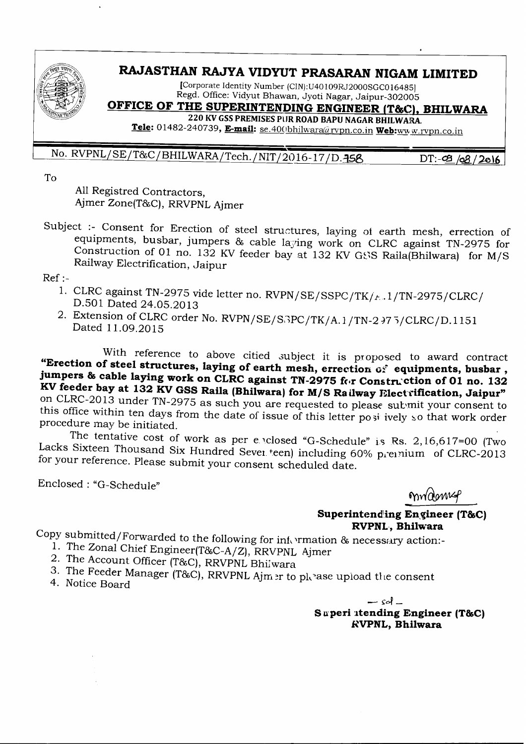

## RAJASTHAN RAJYA VIDYUT PRASARAN NIGAM LIMITED

[Corporate Identity Number (CIN):U40109RJ2000SGCO 16485] Regd. Office: Vidyut Bhawan, Jyoti Nagar, Jaipur-302005

OFFICE OF THE SUPERINTENDING ENGINEER (T&C). BHILWARA

220 KV GSS PREMISES PUR ROAD BAPU NAGAR BHILWARA.

Tele: 01482-240739, E-mail: se.400bhilwara@rvpn.co.in Web:www.rvpn.co.in

No. RVPNL/SE/T&C/BHILWARA/Tech./NIT/2016-17/D.<del>158</del> DT:-09/08/2016

To

All Registred Contractors, Ajmer Zone(T&C), RRVPNLAjmer

Subject :- Consent for Erection of steel structures, laying of earth mesh, errection of equipments, busbar, jumpers & cable laying work on CLRC against TN-2975 for Construction of 01 no. 132 KV feeder bay at 132 KV GSS Raila(Bhilwara) for M/S Railway Electrification, Jaipur

 $Ref: -$ 

- 1. CLRC against TN-2975 vide letter no. RVPN/SE/SSPC/TK/£.1/TN-2975/CLRC/ D.501 Dated 24.05.2013
- 2. Extension of CLRC order No. RVPN/SE/S3PC/TK/A.1/TN-2375/CLRC/D.1151 Dated 11.09.2015

With reference to above citied subject it is proposed to award contract "Erection of steel structures, laying of earth mesh, errection of equipments, busbar, jumpers & cable laying work on CLRC against TN-2975 for Construction of 01 no. 132 KV feeder bay at 132 KV GSS Raila (Bhilwara) for M/S Railway Elect rification, Jaipur" on CLRC-2013 under TN-2975 as such you are requested to please submit your consent to this office within ten days from the date of issue of this letter po si ively so that work order procedure may be initiated.

The tentative cost of work as per e vclosed "G-Schedule" is Rs. 2,16,617=00 (Two Lacks Sixteen Thousand Six Hundred Sever teen) including 60% premium of CLRC-2013 for your reference. Please submit your consent scheduled date.

Enclosed: "G-Schedule"

mndamep

Superintending Engineer (T&C) RVPNL, Bhilwara

Copy submitted/Forwarded to the following for information & necessary action:-

- 1. The Zonal Chief Engineer(T&C-A/Z), RRVPNL Ajmer
- 2. The Account Officer (T&C), RRVPNL Bhilwara
- 3. The Feeder Manager (T&C), RRVPNL Ajmer to please upload the consent

4. Notice Board

 $sd-$ Superi atending Engineer (T&C) **RVPNL, Bhilwara**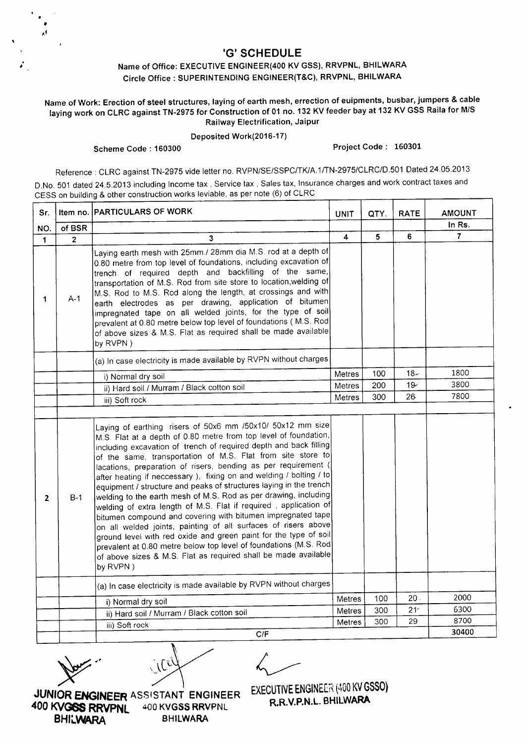## 'G' SCHEDULE

## Name of Office: EXECUTIVE ENGINEER(400 KV GSS), RRVPNL, BHILWARA Circle Office: SUPERINTENDING ENGINEER(T&C), RRVPNL, BHILWARA

## Name of Work: Erection of steel structures, laying of earth mesh, errection of euipments, busbar, jumpers & cable laying work on CLRC against TN-2975 for Construction of 01 no. 132 KV feeder bay at 132 KV GSS Raila for *MIS* Railway Electrification, Jaipur

Deposited Work(2016-17)

•  $\frac{1}{2}$ 

Scheme Code: 160300 Project Code: 160301

Reference: CLRC against TN-2975 vide letter no. RVPN/SE/SSPCfTK/A.1fTN-2975/CLRC/D.501 Dated 24.05.2013 D.No. 501 dated 24.5.2013 including Income tax, Service tax, Sales tax, Insurance charges and work contract taxes and CESS on building & other construction works leviable, as per note (6) of CLRC

| Sr.            |              | Item no. PARTICULARS OF WORK                                                                                                                                                                                                                                                                                                                                                                                                                                                                                                                                                                                                                                                                                                                                                                                                                                                                                                                                                   | <b>UNIT</b>             | QTY. | <b>RATE</b>     | <b>AMOUNT</b> |
|----------------|--------------|--------------------------------------------------------------------------------------------------------------------------------------------------------------------------------------------------------------------------------------------------------------------------------------------------------------------------------------------------------------------------------------------------------------------------------------------------------------------------------------------------------------------------------------------------------------------------------------------------------------------------------------------------------------------------------------------------------------------------------------------------------------------------------------------------------------------------------------------------------------------------------------------------------------------------------------------------------------------------------|-------------------------|------|-----------------|---------------|
| NO.            | of BSR       |                                                                                                                                                                                                                                                                                                                                                                                                                                                                                                                                                                                                                                                                                                                                                                                                                                                                                                                                                                                |                         |      |                 | In Rs.        |
| $\mathbf{1}$   | $\mathbf{2}$ | 3                                                                                                                                                                                                                                                                                                                                                                                                                                                                                                                                                                                                                                                                                                                                                                                                                                                                                                                                                                              | $\overline{\mathbf{4}}$ | 5    | 6               | 7             |
| 1              | $A-1$        | Laying earth mesh with 25mm./ 28mm dia M.S. rod at a depth of<br>0.80 metre from top level of foundations, including excavation of<br>trench of required depth and backfilling of the same,<br>transportation of M.S. Rod from site store to location, welding of<br>M.S. Rod to M.S. Rod along the length, at crossings and with<br>earth electrodes as per drawing, application of bitumen<br>impregnated tape on all welded joints, for the type of soil<br>prevalent at 0.80 metre below top level of foundations (M.S. Rod<br>of above sizes & M.S. Flat as required shall be made available<br>by RVPN)                                                                                                                                                                                                                                                                                                                                                                  |                         |      |                 |               |
|                |              | (a) In case electricity is made available by RVPN without charges                                                                                                                                                                                                                                                                                                                                                                                                                                                                                                                                                                                                                                                                                                                                                                                                                                                                                                              |                         |      |                 |               |
|                |              | i) Normal dry soil                                                                                                                                                                                                                                                                                                                                                                                                                                                                                                                                                                                                                                                                                                                                                                                                                                                                                                                                                             | Metres                  | 100  | $18-$           | 1800          |
|                |              | ii) Hard soil / Murram / Black cotton soil                                                                                                                                                                                                                                                                                                                                                                                                                                                                                                                                                                                                                                                                                                                                                                                                                                                                                                                                     | Metres                  | 200  | 19 <sub>1</sub> | 3800          |
|                |              | iii) Soft rock                                                                                                                                                                                                                                                                                                                                                                                                                                                                                                                                                                                                                                                                                                                                                                                                                                                                                                                                                                 | Metres                  | 300  | 26              | 7800          |
|                |              |                                                                                                                                                                                                                                                                                                                                                                                                                                                                                                                                                                                                                                                                                                                                                                                                                                                                                                                                                                                |                         |      |                 |               |
| $\overline{2}$ | $B-1$        | Laying of earthing risers of 50x6 mm /50x10/ 50x12 mm size<br>M.S. Flat at a depth of 0.80 metre from top level of foundation,<br>including excavation of trench of required depth and back filling<br>of the same, transportation of M.S. Flat from site store to<br>lacations, preparation of risers, bending as per requirement (<br>after heating if neccessary), fixing on and welding / bolting / to<br>equipment / structure and peaks of structures laying in the trench<br>welding to the earth mesh of M.S. Rod as per drawing, including<br>welding of extra length of M.S. Flat if required, application of<br>bitumen compound and covering with bitumen impregnated tape<br>on all welded joints, painting of all surfaces of risers above<br>ground level with red oxide and green paint for the type of soil<br>prevalent at 0.80 metre below top level of foundations (M.S. Rod<br>of above sizes & M.S. Flat as required shall be made available<br>by RVPN) |                         |      |                 |               |
|                |              | (a) In case electricity is made available by RVPN without charges                                                                                                                                                                                                                                                                                                                                                                                                                                                                                                                                                                                                                                                                                                                                                                                                                                                                                                              |                         |      |                 |               |
|                |              | i) Normal dry soil                                                                                                                                                                                                                                                                                                                                                                                                                                                                                                                                                                                                                                                                                                                                                                                                                                                                                                                                                             | Metres                  | 100  | 20.             | 2000          |
|                |              | ii) Hard soil / Murram / Black cotton soil                                                                                                                                                                                                                                                                                                                                                                                                                                                                                                                                                                                                                                                                                                                                                                                                                                                                                                                                     | <b>Metres</b>           | 300  | $21 -$          | 6300          |
|                |              | iii) Soft rock                                                                                                                                                                                                                                                                                                                                                                                                                                                                                                                                                                                                                                                                                                                                                                                                                                                                                                                                                                 | Metres                  | 300  | 29              | 8700          |
|                |              | C/F                                                                                                                                                                                                                                                                                                                                                                                                                                                                                                                                                                                                                                                                                                                                                                                                                                                                                                                                                                            |                         |      |                 | 30400         |

 $\bigvee$ 

**JUNIOR ENGINEER ASSISTANT ENGINEER**<br>400 KVGSS RRVPNI 400 KVGSS RRVPNL 400 KVGSS RRVPNL 400 KVGSS RRV<br>BHILWARA BHILWARA **BHILWARA** 

EXECUTIVE ENGINEER (400 KV GSSO) R.R.V.P.N.L. BHILWARA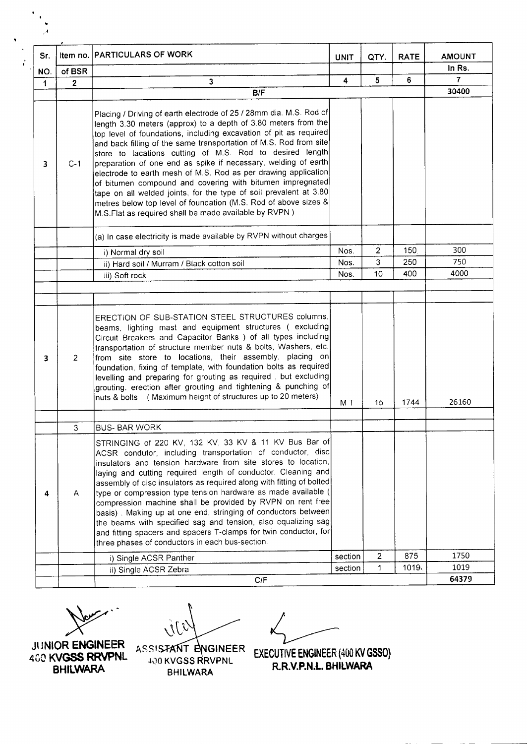| Sr.                     | Item no.       | <b>PARTICULARS OF WORK</b>                                                                                                                                                                                                                                                                                                                                                                                                                                                                                                                                                                                                                                                                                                                   | <b>UNIT</b> | QTY.           | <b>RATE</b> | <b>AMOUNT</b>  |
|-------------------------|----------------|----------------------------------------------------------------------------------------------------------------------------------------------------------------------------------------------------------------------------------------------------------------------------------------------------------------------------------------------------------------------------------------------------------------------------------------------------------------------------------------------------------------------------------------------------------------------------------------------------------------------------------------------------------------------------------------------------------------------------------------------|-------------|----------------|-------------|----------------|
| NO.                     | of BSR         |                                                                                                                                                                                                                                                                                                                                                                                                                                                                                                                                                                                                                                                                                                                                              |             |                |             | In Rs.         |
| $\mathbf{1}$            | $\mathbf{2}$   | 3                                                                                                                                                                                                                                                                                                                                                                                                                                                                                                                                                                                                                                                                                                                                            | 4           | 5              | 6           | $\overline{7}$ |
|                         |                | B/F                                                                                                                                                                                                                                                                                                                                                                                                                                                                                                                                                                                                                                                                                                                                          |             |                |             | 30400          |
| 3                       | $C-1$          | Placing / Driving of earth electrode of 25 / 28mm dia. M.S. Rod of<br>length 3.30 meters (approx) to a depth of 3.80 meters from the<br>top level of foundations, including excavation of pit as required<br>and back filling of the same transportation of M.S. Rod from site<br>store to lacations cutting of M.S. Rod to desired length<br>preparation of one end as spike if necessary, welding of earth<br>electrode to earth mesh of M.S. Rod as per drawing application<br>of bitumen compound and covering with bitumen impregnated<br>tape on all welded joints, for the type of soil prevalent at 3.80<br>metres below top level of foundation (M.S. Rod of above sizes &<br>M.S.Flat as required shall be made available by RVPN) |             |                |             |                |
|                         |                | (a) In case electricity is made available by RVPN without charges                                                                                                                                                                                                                                                                                                                                                                                                                                                                                                                                                                                                                                                                            |             |                |             |                |
|                         |                | i) Normal dry soil                                                                                                                                                                                                                                                                                                                                                                                                                                                                                                                                                                                                                                                                                                                           | Nos.        | $\overline{c}$ | 150         | 300            |
|                         |                | ii) Hard soil / Murram / Black cotton soil                                                                                                                                                                                                                                                                                                                                                                                                                                                                                                                                                                                                                                                                                                   | Nos.        | 3              | 250         | 750            |
|                         |                | iii) Soft rock                                                                                                                                                                                                                                                                                                                                                                                                                                                                                                                                                                                                                                                                                                                               | Nos.        | 10             | 400         | 4000           |
|                         |                |                                                                                                                                                                                                                                                                                                                                                                                                                                                                                                                                                                                                                                                                                                                                              |             |                |             |                |
|                         |                |                                                                                                                                                                                                                                                                                                                                                                                                                                                                                                                                                                                                                                                                                                                                              |             |                |             |                |
| $\overline{\mathbf{3}}$ | $\overline{2}$ | ERECTION OF SUB-STATION STEEL STRUCTURES columns,<br>beams, lighting mast and equipment structures (excluding<br>Circuit Breakers and Capacitor Banks ) of all types including<br>transportation of structure member nuts & bolts, Washers, etc.<br>from site store to locations, their assembly, placing on<br>foundation, fixing of template, with foundation bolts as required<br>levelling and preparing for grouting as required, but excluding<br>grouting. erection after grouting and tightening & punching of<br>nuts & bolts (Maximum height of structures up to 20 meters)                                                                                                                                                        | M T         | 15             | 1744        | 26160          |
|                         |                |                                                                                                                                                                                                                                                                                                                                                                                                                                                                                                                                                                                                                                                                                                                                              |             |                |             |                |
|                         | 3              | <b>BUS-BAR WORK</b>                                                                                                                                                                                                                                                                                                                                                                                                                                                                                                                                                                                                                                                                                                                          |             |                |             |                |
| 4                       | A              | STRINGING of 220 KV, 132 KV, 33 KV & 11 KV Bus Bar of<br>ACSR condutor, including transportation of conductor, disc<br>insulators and tension hardware from site stores to location,<br>laying and cutting required length of conductor. Cleaning and<br>assembly of disc insulators as required along with fitting of bolted<br>type or compression type tension hardware as made available (<br>compression machine shall be provided by RVPN on rent free<br>basis). Making up at one end, stringing of conductors between<br>the beams with specified sag and tension, also equalizing sag<br>and fitting spacers and spacers T-clamps for twin conductor, for<br>three phases of conductors in each bus-section.                        |             |                |             |                |
|                         |                | i) Single ACSR Panther                                                                                                                                                                                                                                                                                                                                                                                                                                                                                                                                                                                                                                                                                                                       | section     | $\overline{2}$ | 875         | 1750           |
|                         |                | ii) Single ACSR Zebra                                                                                                                                                                                                                                                                                                                                                                                                                                                                                                                                                                                                                                                                                                                        | section     | $\mathbf{1}$   | 1019.       | 1019           |
|                         |                | C/F                                                                                                                                                                                                                                                                                                                                                                                                                                                                                                                                                                                                                                                                                                                                          |             |                |             | 64379          |

Nov ... **JUNIOR ENGINEER**

400 **KVGSS RRVPNL BHILWARA**

ASS!.

~(10KVGSS RVPNl **BHILWARA**

**EXECUTIVE ENGINEER** (400 **KV GSSO) R.R.V.P.N.l. BHILWARA**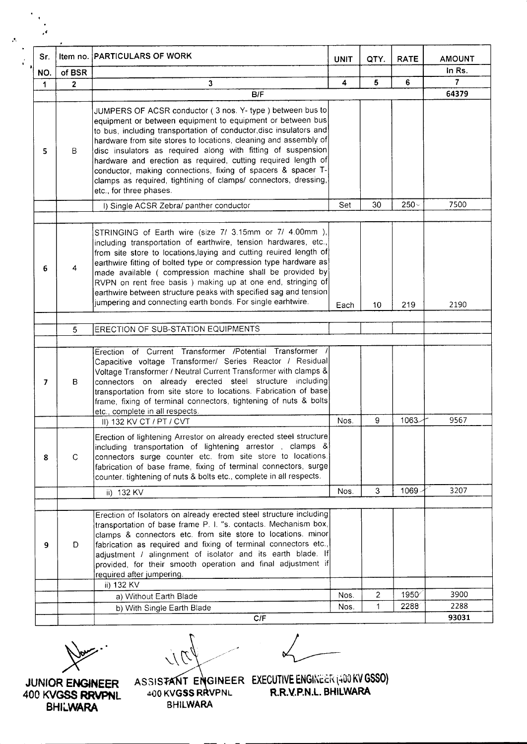| Sr. |              | Item no. PARTICULARS OF WORK                                                                                                                                                                                                                                                                                                                                                                                                                                                                                                                                     | <b>UNIT</b> | QTY.           | <b>RATE</b> | <b>AMOUNT</b>  |
|-----|--------------|------------------------------------------------------------------------------------------------------------------------------------------------------------------------------------------------------------------------------------------------------------------------------------------------------------------------------------------------------------------------------------------------------------------------------------------------------------------------------------------------------------------------------------------------------------------|-------------|----------------|-------------|----------------|
| NO. | of BSR       |                                                                                                                                                                                                                                                                                                                                                                                                                                                                                                                                                                  |             |                |             | In Rs.         |
| 1   | $\mathbf{2}$ | $\mathbf{3}$                                                                                                                                                                                                                                                                                                                                                                                                                                                                                                                                                     | 4           | 5              | 6           | $\overline{7}$ |
|     |              | B/F                                                                                                                                                                                                                                                                                                                                                                                                                                                                                                                                                              |             |                |             | 64379          |
| 5   | В            | JUMPERS OF ACSR conductor (3 nos. Y- type) between bus to<br>equipment or between equipment to equipment or between bus<br>to bus, including transportation of conductor, disc insulators and<br>hardware from site stores to locations, cleaning and assembly of<br>disc insulators as required along with fitting of suspension<br>hardware and erection as required, cutting required length of<br>conductor, making connections, fixing of spacers & spacer T-<br>clamps as required, tightining of clamps/ connectors, dressing,<br>etc., for three phases. |             |                |             |                |
|     |              | I) Single ACSR Zebra/ panther conductor                                                                                                                                                                                                                                                                                                                                                                                                                                                                                                                          | Set         | 30             | $250 -$     | 7500           |
| 6   | 4            | STRINGING of Earth wire (size 7/ 3.15mm or 7/ 4.00mm),<br>including transportation of earthwire, tension hardwares, etc.,<br>from site store to locations, laying and cutting reuired length of<br>earthwire fitting of bolted type or compression type hardware as<br>made available ( compression machine shall be provided by<br>RVPN on rent free basis) making up at one end, stringing of<br>earthwire between structure peaks with specified sag and tension<br>jumpering and connecting earth bonds. For single earhtwire.                               | Each        | 10             | 219         | 2190           |
|     |              |                                                                                                                                                                                                                                                                                                                                                                                                                                                                                                                                                                  |             |                |             |                |
|     | 5            | ERECTION OF SUB-STATION EQUIPMENTS                                                                                                                                                                                                                                                                                                                                                                                                                                                                                                                               |             |                |             |                |
| 7   | В            | Erection of Current Transformer /Potential Transformer<br>Capacitive voltage Transformer/ Series Reactor / Residual<br>Voltage Transformer / Neutral Current Transformer with clamps &<br>connectors on already erected steel structure including<br>transportation from site store to locations. Fabrication of base<br>frame, fixing of terminal connectors, tightening of nuts & bolts<br>etc., complete in all respects.                                                                                                                                     |             |                |             |                |
|     |              | II) 132 KV CT / PT / CVT                                                                                                                                                                                                                                                                                                                                                                                                                                                                                                                                         | Nos.        | 9              | 1063        | 9567           |
| 8   | $\mathsf{C}$ | Erection of lightening Arrestor on already erected steel structure<br>including transportation of lightening arrestor, clamps &<br>connectors surge counter etc. from site store to locations.<br>fabrication of base frame, fixing of terminal connectors, surge<br>counter, tightening of nuts & bolts etc., complete in all respects.                                                                                                                                                                                                                         |             |                |             |                |
|     |              | ii) 132 KV                                                                                                                                                                                                                                                                                                                                                                                                                                                                                                                                                       | Nos.        | 3              | 1069        | 3207           |
| 9   | D            | Erection of Isolators on already erected steel structure including<br>transportation of base frame P. I. "s. contacts. Mechanism box,<br>clamps & connectors etc. from site store to locations. minor<br>fabrication as required and fixing of terminal connectors etc.,<br>adjustment / alingnment of isolator and its earth blade. If<br>provided, for their smooth operation and final adjustment if                                                                                                                                                          |             |                |             |                |
|     |              | required after jumpering.<br>ii) 132 KV                                                                                                                                                                                                                                                                                                                                                                                                                                                                                                                          |             |                |             |                |
|     |              | a) Without Earth Blade                                                                                                                                                                                                                                                                                                                                                                                                                                                                                                                                           | Nos.        | $\overline{c}$ | 1950'       | 3900           |
|     |              | b) With Single Earth Blade                                                                                                                                                                                                                                                                                                                                                                                                                                                                                                                                       | Nos.        | $\mathbf 1$    | 2288        | 2288           |
|     |              | C/F                                                                                                                                                                                                                                                                                                                                                                                                                                                                                                                                                              |             |                |             | 93031          |

 $\Delta$  ...  $\Delta$ 

 $\sim$ 

**JUNIOR ENGINEER** 400 **KVGSS RRVPNL BHILWARA**

ASSIS7A 400 KV**GSS RRV**PNL BHILWARA

EXECUTIVE ENGINCER (400 NY GSSO) R.R.V.P.N.L. **BHILWARA**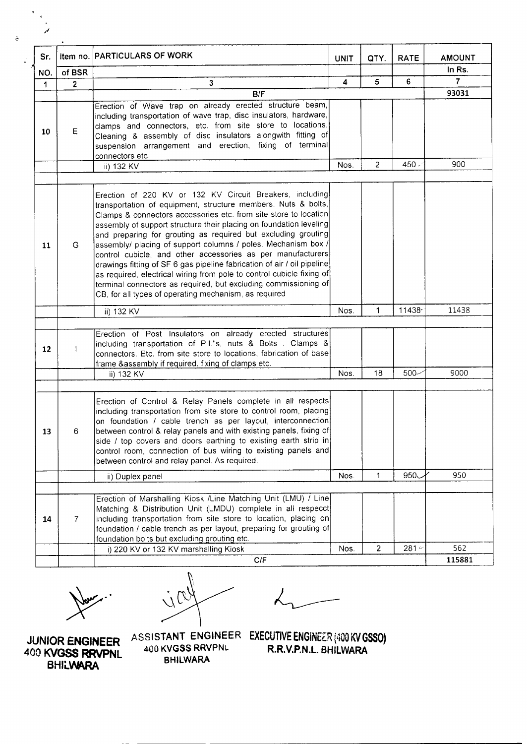| Sr. |                | Item no. PARTICULARS OF WORK                                                                                                                                                                                                                                                                                                                                                                                                                                                                                                                                                                                                                                                                                                                         | UNIT | QTY.           | <b>RATE</b> | <b>AMOUNT</b> |
|-----|----------------|------------------------------------------------------------------------------------------------------------------------------------------------------------------------------------------------------------------------------------------------------------------------------------------------------------------------------------------------------------------------------------------------------------------------------------------------------------------------------------------------------------------------------------------------------------------------------------------------------------------------------------------------------------------------------------------------------------------------------------------------------|------|----------------|-------------|---------------|
| NO. | of BSR         |                                                                                                                                                                                                                                                                                                                                                                                                                                                                                                                                                                                                                                                                                                                                                      |      |                |             | In Rs.        |
| 1   | $\overline{2}$ | 3                                                                                                                                                                                                                                                                                                                                                                                                                                                                                                                                                                                                                                                                                                                                                    | 4    | 5 <sup>1</sup> | 6           | 7             |
|     |                | B/F                                                                                                                                                                                                                                                                                                                                                                                                                                                                                                                                                                                                                                                                                                                                                  |      |                |             | 93031         |
| 10  | $\mathsf E$    | Erection of Wave trap on already erected structure beam,<br>including transportation of wave trap, disc insulators, hardware,<br>clamps and connectors, etc. from site store to locations.<br>Cleaning & assembly of disc insulators alongwith fitting of<br>suspension arrangement and erection, fixing of terminal<br>connectors etc.                                                                                                                                                                                                                                                                                                                                                                                                              |      |                |             |               |
|     |                | ii) 132 KV                                                                                                                                                                                                                                                                                                                                                                                                                                                                                                                                                                                                                                                                                                                                           | Nos. | $\overline{2}$ | 450.        | 900           |
|     |                |                                                                                                                                                                                                                                                                                                                                                                                                                                                                                                                                                                                                                                                                                                                                                      |      |                |             |               |
| 11  | G              | Erection of 220 KV or 132 KV Circuit Breakers, including<br>transportation of equipment, structure members. Nuts & bolts,<br>Clamps & connectors accessories etc. from site store to location<br>assembly of support structure their placing on foundation leveling<br>and preparing for grouting as required but excluding grouting<br>assembly/ placing of support columns / poles. Mechanism box /<br>control cubicle, and other accessories as per manufacturers<br>drawings fitting of SF 6 gas pipeline fabrication of air / oil pipeline<br>as required, electrical wiring from pole to control cubicle fixing of<br>terminal connectors as required, but excluding commissioning of<br>CB, for all types of operating mechanism, as required |      |                |             |               |
|     |                | ii) 132 KV                                                                                                                                                                                                                                                                                                                                                                                                                                                                                                                                                                                                                                                                                                                                           | Nos. | 1              | 11438-      | 11438         |
|     |                |                                                                                                                                                                                                                                                                                                                                                                                                                                                                                                                                                                                                                                                                                                                                                      |      |                |             |               |
| 12  | 1              | Erection of Post Insulators on already erected structures<br> including transportation of P.I."s, nuts & Bolts . Clamps &<br>connectors. Etc. from site store to locations, fabrication of base<br>frame &assembly if required. fixing of clamps etc.                                                                                                                                                                                                                                                                                                                                                                                                                                                                                                |      |                |             |               |
|     |                | ii) 132 KV                                                                                                                                                                                                                                                                                                                                                                                                                                                                                                                                                                                                                                                                                                                                           | Nos. | 18             | $500 -$     | 9000          |
| 13  | 6              | Erection of Control & Relay Panels complete in all respects<br>including transportation from site store to control room, placing<br>on foundation / cable trench as per layout, interconnection<br>between control & relay panels and with existing panels, fixing of<br>side / top covers and doors earthing to existing earth strip in<br>control room, connection of bus wiring to existing panels and<br>between control and relay panel. As required.                                                                                                                                                                                                                                                                                           |      |                |             |               |
|     |                | ii) Duplex panel                                                                                                                                                                                                                                                                                                                                                                                                                                                                                                                                                                                                                                                                                                                                     | Nos. | 1              | 950         | 950           |
|     |                |                                                                                                                                                                                                                                                                                                                                                                                                                                                                                                                                                                                                                                                                                                                                                      |      |                |             |               |
| 14  | $\overline{7}$ | Erection of Marshalling Kiosk / Line Matching Unit (LMU) / Line<br>Matching & Distribution Unit (LMDU) complete in all respecct<br>including transportation from site store to location, placing on<br>foundation / cable trench as per layout, preparing for grouting of<br>foundation bolts but excluding grouting etc.                                                                                                                                                                                                                                                                                                                                                                                                                            |      |                |             |               |
|     |                | i) 220 KV or 132 KV marshalling Kiosk                                                                                                                                                                                                                                                                                                                                                                                                                                                                                                                                                                                                                                                                                                                | Nos. | $\overline{2}$ | $281 -$     | 562           |
|     |                | C/F                                                                                                                                                                                                                                                                                                                                                                                                                                                                                                                                                                                                                                                                                                                                                  |      |                |             | 115881        |



 $\tilde{\omega}$ 

JUNIOR ENGINEER 400 KVGSS RRVPNL **BHILWARA** 

.400 KVGSS RRVPNL BHllWARA

ASSISTANT ENGINEER EXECUTIVE ENGINEER (400 KV GSSO) R.R.V.P.N.L. BHILWARA

Â